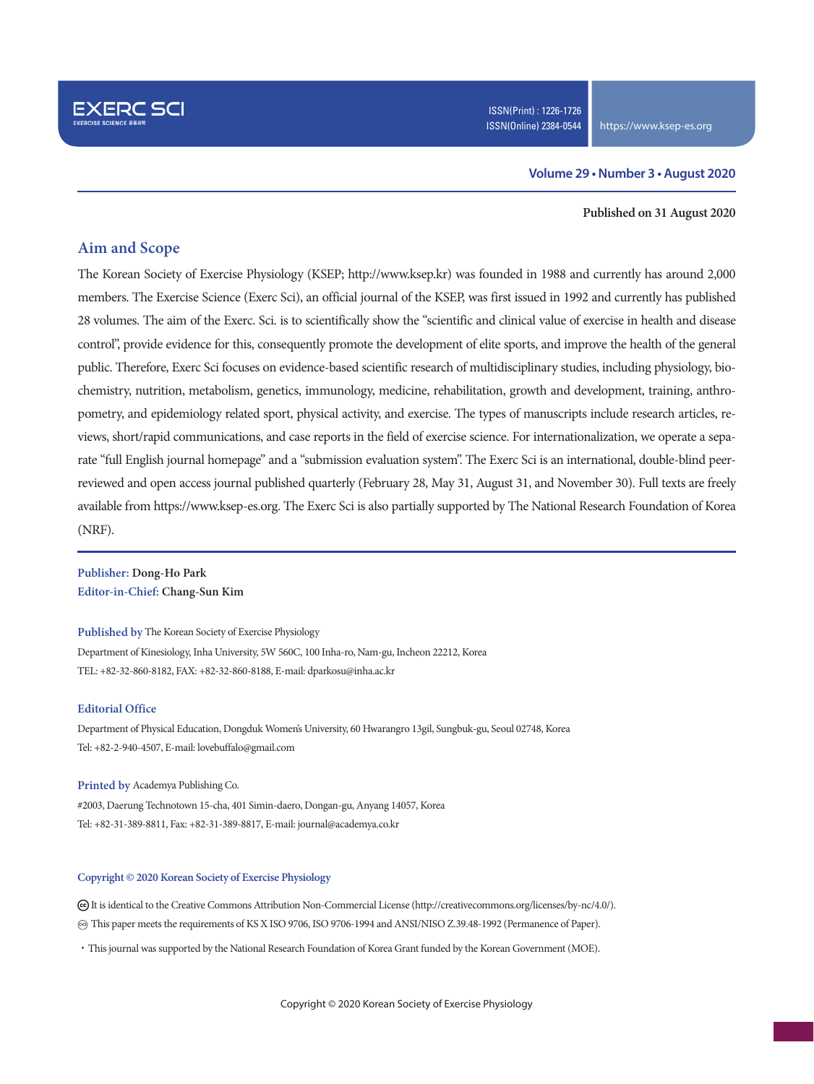### **Volume 29 • Number 3 • August 2020**

#### **Published on 31 August 2020**

### **Aim and Scope**

The Korean Society of Exercise Physiology (KSEP; http://www.ksep.kr) was founded in 1988 and currently has around 2,000 members. The Exercise Science (Exerc Sci), an official journal of the KSEP, was first issued in 1992 and currently has published 28 volumes. The aim of the Exerc. Sci. is to scientifically show the "scientific and clinical value of exercise in health and disease control", provide evidence for this, consequently promote the development of elite sports, and improve the health of the general public. Therefore, Exerc Sci focuses on evidence-based scientific research of multidisciplinary studies, including physiology, biochemistry, nutrition, metabolism, genetics, immunology, medicine, rehabilitation, growth and development, training, anthropometry, and epidemiology related sport, physical activity, and exercise. The types of manuscripts include research articles, reviews, short/rapid communications, and case reports in the field of exercise science. For internationalization, we operate a separate "full English journal homepage" and a "submission evaluation system". The Exerc Sci is an international, double-blind peerreviewed and open access journal published quarterly (February 28, May 31, August 31, and November 30). Full texts are freely available from https://www.ksep-es.org. The Exerc Sci is also partially supported by The National Research Foundation of Korea (NRF).

**Publisher: Dong-Ho Park Editor-in-Chief: Chang-Sun Kim**

**Published by** The Korean Society of Exercise Physiology

Department of Kinesiology, Inha University, 5W 560C, 100 Inha-ro, Nam-gu, Incheon 22212, Korea TEL: +82-32-860-8182, FAX: +82-32-860-8188, E-mail: dparkosu@inha.ac.kr

#### **Editorial Office**

Department of Physical Education, Dongduk Women's University, 60 Hwarangro 13gil, Sungbuk-gu, Seoul 02748, Korea Tel: +82-2-940-4507, E-mail: lovebuffalo@gmail.com

#### **Printed by** Academya Publishing Co.

#2003, Daerung Technotown 15-cha, 401 Simin-daero, Dongan-gu, Anyang 14057, Korea Tel: +82-31-389-8811, Fax: +82-31-389-8817, E-mail: journal@academya.co.kr

#### **Copyright © 2020 Korean Society of Exercise Physiology**

 It is identical to the Creative Commons Attribution Non-Commercial License (http://creativecommons.org/licenses/by-nc/4.0/). ∞ This paper meets the requirements of KS X ISO 9706, ISO 9706-1994 and ANSI/NISO Z.39.48-1992 (Permanence of Paper).

·This journal was supported by the National Research Foundation of Korea Grant funded by the Korean Government (MOE).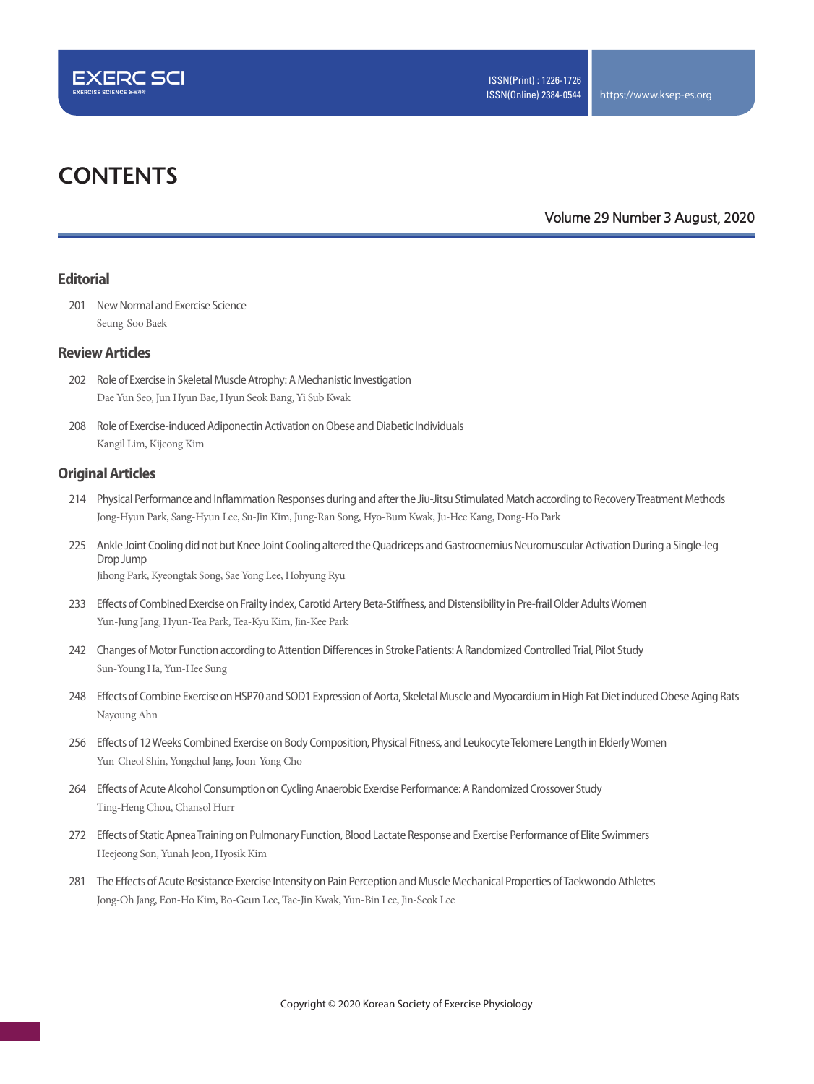

# **CONTENTS**

**Volume 29 Number 3 August, 2020**

### **Editorial**

201 New Normal and Exercise Science Seung-Soo Baek

### **Review Articles**

- 202 Role of Exercise in Skeletal Muscle Atrophy: A Mechanistic Investigation Dae Yun Seo, Jun Hyun Bae, Hyun Seok Bang, Yi Sub Kwak
- 208 Role of Exercise-induced Adiponectin Activation on Obese and Diabetic Individuals Kangil Lim, Kijeong Kim

### **Original Articles**

- 214 Physical Performance and Inflammation Responses during and after the Jiu-Jitsu Stimulated Match according to Recovery Treatment Methods Jong-Hyun Park, Sang-Hyun Lee, Su-Jin Kim, Jung-Ran Song, Hyo-Bum Kwak, Ju-Hee Kang, Dong-Ho Park
- 225 Ankle Joint Cooling did not but Knee Joint Cooling altered the Quadriceps and Gastrocnemius Neuromuscular Activation During a Single-leg Drop Jump Jihong Park, Kyeongtak Song, Sae Yong Lee, Hohyung Ryu
- 
- 233 Effects of Combined Exercise on Frailty index, Carotid Artery Beta-Stiffness, and Distensibility in Pre-frail Older Adults Women Yun-Jung Jang, Hyun-Tea Park, Tea-Kyu Kim, Jin-Kee Park
- 242 Changes of Motor Function according to Attention Differences in Stroke Patients: A Randomized Controlled Trial, Pilot Study Sun-Young Ha, Yun-Hee Sung
- 248 Effects of Combine Exercise on HSP70 and SOD1 Expression of Aorta, Skeletal Muscle and Myocardium in High Fat Diet induced Obese Aging Rats Nayoung Ahn
- 256 Effects of 12 Weeks Combined Exercise on Body Composition, Physical Fitness, and Leukocyte Telomere Length in Elderly Women Yun-Cheol Shin, Yongchul Jang, Joon-Yong Cho
- 264 Effects of Acute Alcohol Consumption on Cycling Anaerobic Exercise Performance: A Randomized Crossover Study Ting-Heng Chou, Chansol Hurr
- 272 Effects of Static Apnea Training on Pulmonary Function, Blood Lactate Response and Exercise Performance of Elite Swimmers Heejeong Son, Yunah Jeon, Hyosik Kim
- 281 The Effects of Acute Resistance Exercise Intensity on Pain Perception and Muscle Mechanical Properties of Taekwondo Athletes Jong-Oh Jang, Eon-Ho Kim, Bo-Geun Lee, Tae-Jin Kwak, Yun-Bin Lee, Jin-Seok Lee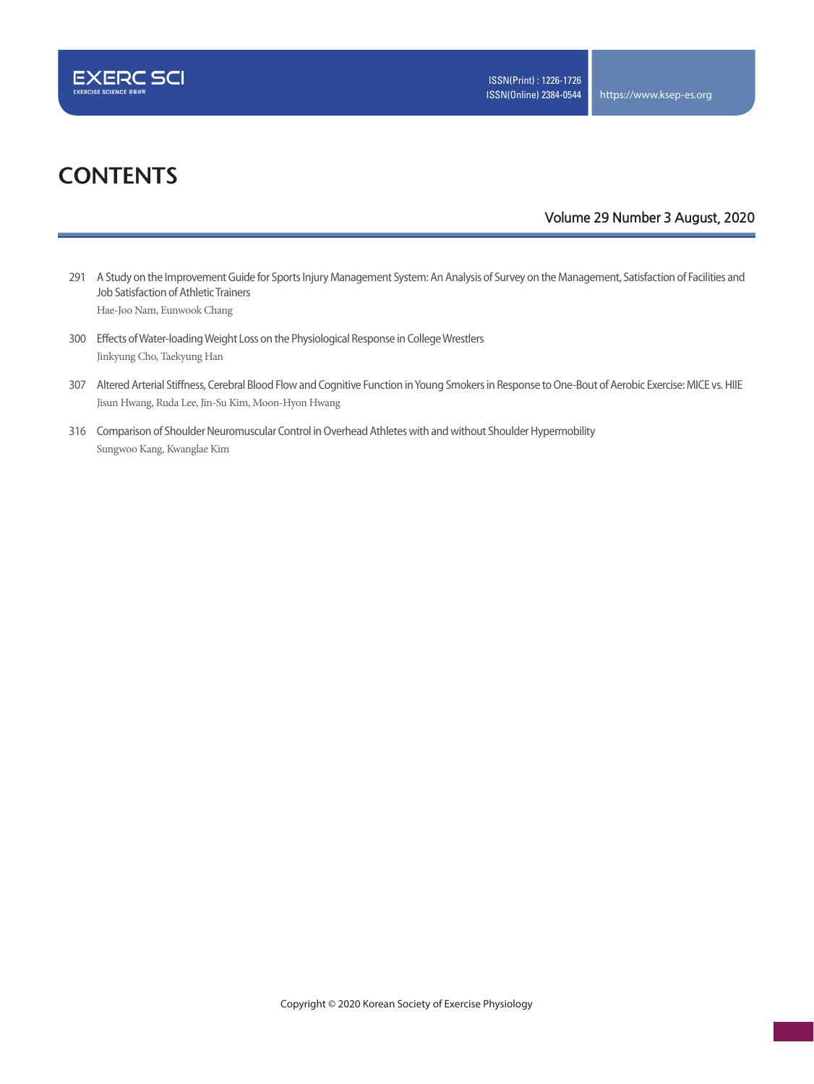

# **CONTENTS**

### **Volume 29 Number 3 August, 2020**

- 291 A Study on the Improvement Guide for Sports Injury Management System: An Analysis of Survey on the Management, Satisfaction of Facilities and Job Satisfaction of Athletic Trainers Hae-Joo Nam, Eunwook Chang
- 300 Effects of Water-loading Weight Loss on the Physiological Response in College Wrestlers Jinkyung Cho, Taekyung Han
- 307 Altered Arterial Stiffness, Cerebral Blood Flow and Cognitive Function in Young Smokers in Response to One-Bout of Aerobic Exercise: MICE vs. HIIE Jisun Hwang, Ruda Lee, Jin-Su Kim, Moon-Hyon Hwang
- 316 Comparison of Shoulder Neuromuscular Control in Overhead Athletes with and without Shoulder Hypermobility Sungwoo Kang, Kwanglae Kim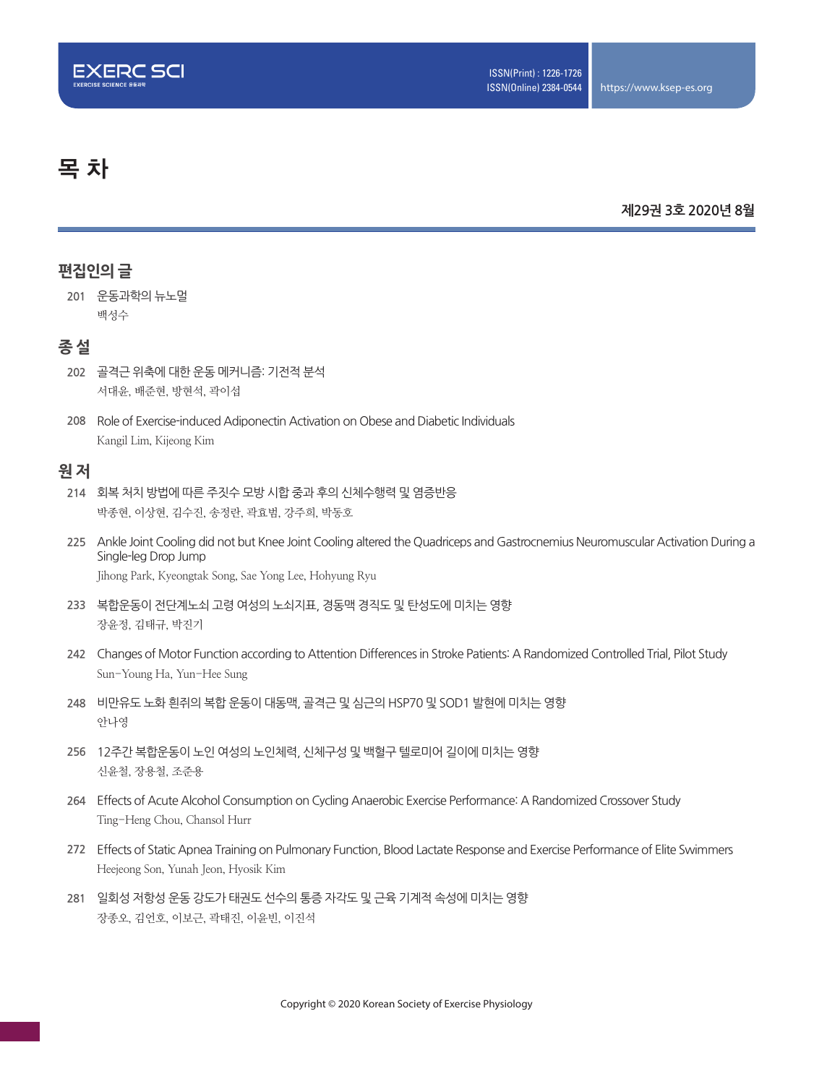

# 목 차

### **제29권 3호 2020년 8월**

## **편집인의 글**

**201** 운동과학의 뉴노멀 백성수

## **종 설**

- **202** 골격근 위축에 대한 운동 메커니즘: 기전적 분석 서대윤, 배준현, 방현석, 곽이섭
- **208** Role of Exercise-induced Adiponectin Activation on Obese and Diabetic Individuals Kangil Lim, Kijeong Kim

## **원 저**

- **214** 회복 처치 방법에 따른 주짓수 모방 시합 중과 후의 신체수행력 및 염증반응 박종현, 이상현, 김수진, 송정란, 곽효범, 강주희, 박동호
- **225** Ankle Joint Cooling did not but Knee Joint Cooling altered the Quadriceps and Gastrocnemius Neuromuscular Activation During a Single-leg Drop Jump Jihong Park, Kyeongtak Song, Sae Yong Lee, Hohyung Ryu
- **233** 복합운동이 전단계노쇠 고령 여성의 노쇠지표, 경동맥 경직도 및 탄성도에 미치는 영향 장윤정, 김태규, 박진기
- **242** Changes of Motor Function according to Attention Differences in Stroke Patients: A Randomized Controlled Trial, Pilot Study Sun-Young Ha, Yun-Hee Sung
- **248** 비만유도 노화 흰쥐의 복합 운동이 대동맥, 골격근 및 심근의 HSP70 및 SOD1 발현에 미치는 영향 안나영
- **256** 12주간 복합운동이 노인 여성의 노인체력, 신체구성 및 백혈구 텔로미어 길이에 미치는 영향 신윤철, 장용철, 조준용
- **264** Effects of Acute Alcohol Consumption on Cycling Anaerobic Exercise Performance: A Randomized Crossover Study Ting-Heng Chou, Chansol Hurr
- **272** Effects of Static Apnea Training on Pulmonary Function, Blood Lactate Response and Exercise Performance of Elite Swimmers Heejeong Son, Yunah Jeon, Hyosik Kim
- **281** 일회성 저항성 운동 강도가 태권도 선수의 통증 자각도 및 근육 기계적 속성에 미치는 영향 장종오, 김언호, 이보근, 곽태진, 이윤빈, 이진석